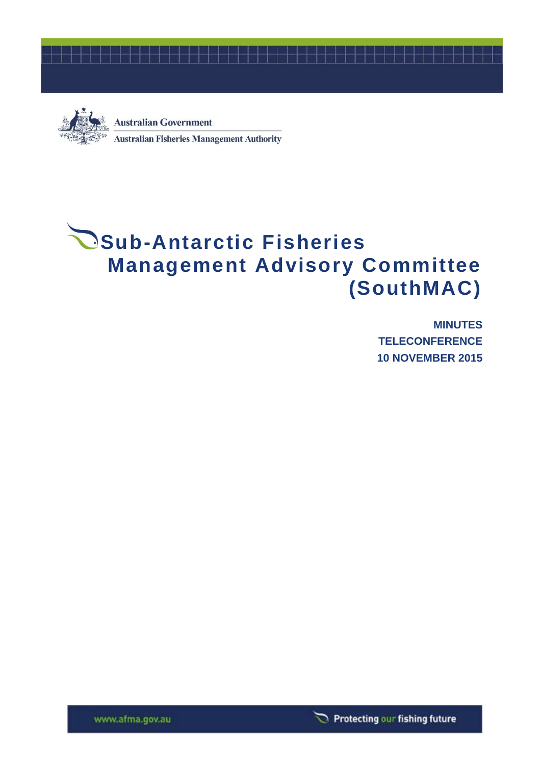



**Australian Government Australian Fisheries Management Authority** 

# **Sub-Antarctic Fisheries Management Advisory Committee (SouthMAC)**

**MINUTES TELECONFERENCE 10 NOVEMBER 2015**

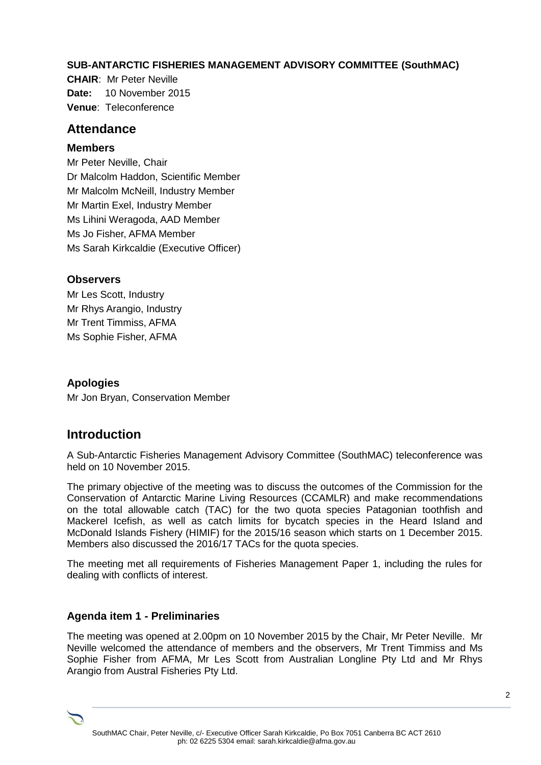#### **SUB-ANTARCTIC FISHERIES MANAGEMENT ADVISORY COMMITTEE (SouthMAC)**

**CHAIR**: Mr Peter Neville **Date:** 10 November 2015 **Venue**: Teleconference

#### **Attendance**

#### **Members**

Mr Peter Neville, Chair Dr Malcolm Haddon, Scientific Member Mr Malcolm McNeill, Industry Member Mr Martin Exel, Industry Member Ms Lihini Weragoda, AAD Member Ms Jo Fisher, AFMA Member Ms Sarah Kirkcaldie (Executive Officer)

#### **Observers**

Mr Les Scott, Industry Mr Rhys Arangio, Industry Mr Trent Timmiss, AFMA Ms Sophie Fisher, AFMA

**Apologies** Mr Jon Bryan, Conservation Member

## **Introduction**

A Sub-Antarctic Fisheries Management Advisory Committee (SouthMAC) teleconference was held on 10 November 2015.

The primary objective of the meeting was to discuss the outcomes of the Commission for the Conservation of Antarctic Marine Living Resources (CCAMLR) and make recommendations on the total allowable catch (TAC) for the two quota species Patagonian toothfish and Mackerel Icefish, as well as catch limits for bycatch species in the Heard Island and McDonald Islands Fishery (HIMIF) for the 2015/16 season which starts on 1 December 2015. Members also discussed the 2016/17 TACs for the quota species.

The meeting met all requirements of Fisheries Management Paper 1, including the rules for dealing with conflicts of interest.

#### **Agenda item 1 - Preliminaries**

The meeting was opened at 2.00pm on 10 November 2015 by the Chair, Mr Peter Neville. Mr Neville welcomed the attendance of members and the observers, Mr Trent Timmiss and Ms Sophie Fisher from AFMA, Mr Les Scott from Australian Longline Pty Ltd and Mr Rhys Arangio from Austral Fisheries Pty Ltd.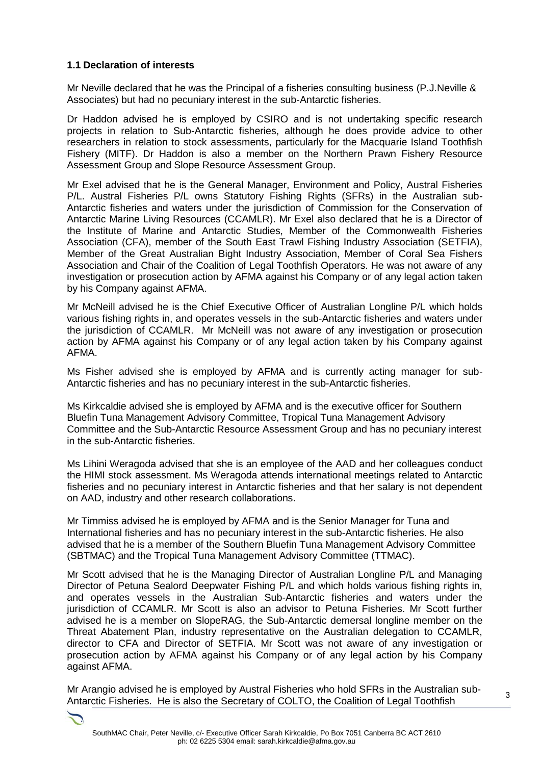#### **1.1 Declaration of interests**

Mr Neville declared that he was the Principal of a fisheries consulting business (P.J.Neville & Associates) but had no pecuniary interest in the sub-Antarctic fisheries.

Dr Haddon advised he is employed by CSIRO and is not undertaking specific research projects in relation to Sub-Antarctic fisheries, although he does provide advice to other researchers in relation to stock assessments, particularly for the Macquarie Island Toothfish Fishery (MITF). Dr Haddon is also a member on the Northern Prawn Fishery Resource Assessment Group and Slope Resource Assessment Group.

Mr Exel advised that he is the General Manager, Environment and Policy, Austral Fisheries P/L. Austral Fisheries P/L owns Statutory Fishing Rights (SFRs) in the Australian sub-Antarctic fisheries and waters under the jurisdiction of Commission for the Conservation of Antarctic Marine Living Resources (CCAMLR). Mr Exel also declared that he is a Director of the Institute of Marine and Antarctic Studies, Member of the Commonwealth Fisheries Association (CFA), member of the South East Trawl Fishing Industry Association (SETFIA), Member of the Great Australian Bight Industry Association, Member of Coral Sea Fishers Association and Chair of the Coalition of Legal Toothfish Operators. He was not aware of any investigation or prosecution action by AFMA against his Company or of any legal action taken by his Company against AFMA.

Mr McNeill advised he is the Chief Executive Officer of Australian Longline P/L which holds various fishing rights in, and operates vessels in the sub-Antarctic fisheries and waters under the jurisdiction of CCAMLR. Mr McNeill was not aware of any investigation or prosecution action by AFMA against his Company or of any legal action taken by his Company against AFMA.

Ms Fisher advised she is employed by AFMA and is currently acting manager for sub-Antarctic fisheries and has no pecuniary interest in the sub-Antarctic fisheries.

Ms Kirkcaldie advised she is employed by AFMA and is the executive officer for Southern Bluefin Tuna Management Advisory Committee, Tropical Tuna Management Advisory Committee and the Sub-Antarctic Resource Assessment Group and has no pecuniary interest in the sub-Antarctic fisheries.

Ms Lihini Weragoda advised that she is an employee of the AAD and her colleagues conduct the HIMI stock assessment. Ms Weragoda attends international meetings related to Antarctic fisheries and no pecuniary interest in Antarctic fisheries and that her salary is not dependent on AAD, industry and other research collaborations.

Mr Timmiss advised he is employed by AFMA and is the Senior Manager for Tuna and International fisheries and has no pecuniary interest in the sub-Antarctic fisheries. He also advised that he is a member of the Southern Bluefin Tuna Management Advisory Committee (SBTMAC) and the Tropical Tuna Management Advisory Committee (TTMAC).

Mr Scott advised that he is the Managing Director of Australian Longline P/L and Managing Director of Petuna Sealord Deepwater Fishing P/L and which holds various fishing rights in, and operates vessels in the Australian Sub-Antarctic fisheries and waters under the jurisdiction of CCAMLR. Mr Scott is also an advisor to Petuna Fisheries. Mr Scott further advised he is a member on SlopeRAG, the Sub-Antarctic demersal longline member on the Threat Abatement Plan, industry representative on the Australian delegation to CCAMLR, director to CFA and Director of SETFIA. Mr Scott was not aware of any investigation or prosecution action by AFMA against his Company or of any legal action by his Company against AFMA.

Mr Arangio advised he is employed by Austral Fisheries who hold SFRs in the Australian sub-Antarctic Fisheries. He is also the Secretary of COLTO, the Coalition of Legal Toothfish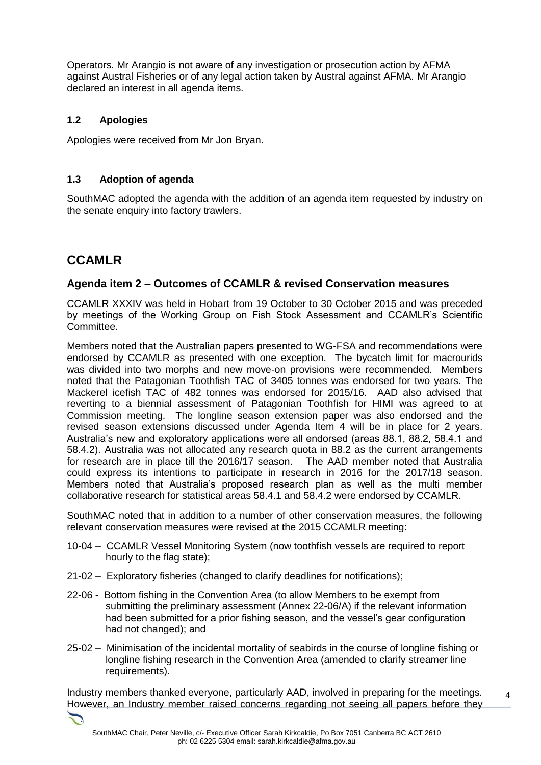Operators. Mr Arangio is not aware of any investigation or prosecution action by AFMA against Austral Fisheries or of any legal action taken by Austral against AFMA. Mr Arangio declared an interest in all agenda items.

#### **1.2 Apologies**

Apologies were received from Mr Jon Bryan.

#### **1.3 Adoption of agenda**

SouthMAC adopted the agenda with the addition of an agenda item requested by industry on the senate enquiry into factory trawlers.

## **CCAMLR**

#### **Agenda item 2 – Outcomes of CCAMLR & revised Conservation measures**

CCAMLR XXXIV was held in Hobart from 19 October to 30 October 2015 and was preceded by meetings of the Working Group on Fish Stock Assessment and CCAMLR's Scientific Committee.

Members noted that the Australian papers presented to WG-FSA and recommendations were endorsed by CCAMLR as presented with one exception. The bycatch limit for macrourids was divided into two morphs and new move-on provisions were recommended. Members noted that the Patagonian Toothfish TAC of 3405 tonnes was endorsed for two years. The Mackerel icefish TAC of 482 tonnes was endorsed for 2015/16. AAD also advised that reverting to a biennial assessment of Patagonian Toothfish for HIMI was agreed to at Commission meeting. The longline season extension paper was also endorsed and the revised season extensions discussed under Agenda Item 4 will be in place for 2 years. Australia's new and exploratory applications were all endorsed (areas 88.1, 88.2, 58.4.1 and 58.4.2). Australia was not allocated any research quota in 88.2 as the current arrangements for research are in place till the 2016/17 season. The AAD member noted that Australia could express its intentions to participate in research in 2016 for the 2017/18 season. Members noted that Australia's proposed research plan as well as the multi member collaborative research for statistical areas 58.4.1 and 58.4.2 were endorsed by CCAMLR.

SouthMAC noted that in addition to a number of other conservation measures, the following relevant conservation measures were revised at the 2015 CCAMLR meeting:

- 10-04 CCAMLR Vessel Monitoring System (now toothfish vessels are required to report hourly to the flag state);
- 21-02 Exploratory fisheries (changed to clarify deadlines for notifications);
- 22-06 Bottom fishing in the Convention Area (to allow Members to be exempt from submitting the preliminary assessment (Annex 22-06/A) if the relevant information had been submitted for a prior fishing season, and the vessel's gear configuration had not changed); and
- 25-02 Minimisation of the incidental mortality of seabirds in the course of longline fishing or longline fishing research in the Convention Area (amended to clarify streamer line requirements).

4 Industry members thanked everyone, particularly AAD, involved in preparing for the meetings. However, an Industry member raised concerns regarding not seeing all papers before they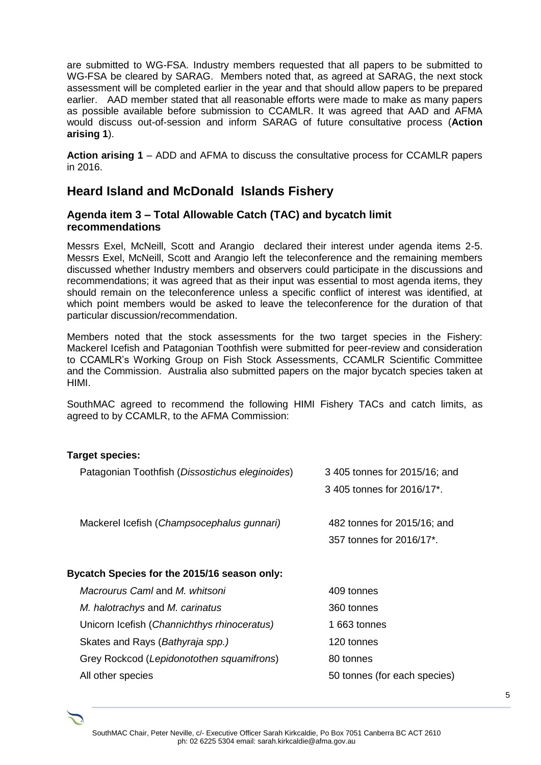are submitted to WG-FSA. Industry members requested that all papers to be submitted to WG-FSA be cleared by SARAG. Members noted that, as agreed at SARAG, the next stock assessment will be completed earlier in the year and that should allow papers to be prepared earlier. AAD member stated that all reasonable efforts were made to make as many papers as possible available before submission to CCAMLR. It was agreed that AAD and AFMA would discuss out-of-session and inform SARAG of future consultative process (**Action arising 1**).

**Action arising 1** – ADD and AFMA to discuss the consultative process for CCAMLR papers in 2016.

### **Heard Island and McDonald Islands Fishery**

#### **Agenda item 3 – Total Allowable Catch (TAC) and bycatch limit recommendations**

Messrs Exel, McNeill, Scott and Arangio declared their interest under agenda items 2-5. Messrs Exel, McNeill, Scott and Arangio left the teleconference and the remaining members discussed whether Industry members and observers could participate in the discussions and recommendations; it was agreed that as their input was essential to most agenda items, they should remain on the teleconference unless a specific conflict of interest was identified, at which point members would be asked to leave the teleconference for the duration of that particular discussion/recommendation.

Members noted that the stock assessments for the two target species in the Fishery: Mackerel Icefish and Patagonian Toothfish were submitted for peer-review and consideration to CCAMLR's Working Group on Fish Stock Assessments, CCAMLR Scientific Committee and the Commission. Australia also submitted papers on the major bycatch species taken at HIMI.

SouthMAC agreed to recommend the following HIMI Fishery TACs and catch limits, as agreed to by CCAMLR, to the AFMA Commission:

#### **Target species:**

| Patagonian Toothfish (Dissostichus eleginoides) | 3405 tonnes for 2015/16; and |  |  |  |  |
|-------------------------------------------------|------------------------------|--|--|--|--|
|                                                 | 3405 tonnes for 2016/17*.    |  |  |  |  |
|                                                 |                              |  |  |  |  |
| Mackerel Icefish (Champsocephalus gunnari)      | 482 tonnes for 2015/16; and  |  |  |  |  |
|                                                 | 357 tonnes for 2016/17*.     |  |  |  |  |
|                                                 |                              |  |  |  |  |
| Bycatch Species for the 2015/16 season only:    |                              |  |  |  |  |
| Macrourus Caml and M. whitsoni                  | 409 tonnes                   |  |  |  |  |
| M. halotrachys and M. carinatus                 | 360 tonnes                   |  |  |  |  |
| Unicorn Icefish (Channichthys rhinoceratus)     | 1 663 tonnes                 |  |  |  |  |
| Skates and Rays ( <i>Bathyraja spp.)</i>        | 120 tonnes                   |  |  |  |  |
| Grey Rockcod (Lepidonotothen squamifrons)       | 80 tonnes                    |  |  |  |  |
| All other species                               | 50 tonnes (for each species) |  |  |  |  |
|                                                 |                              |  |  |  |  |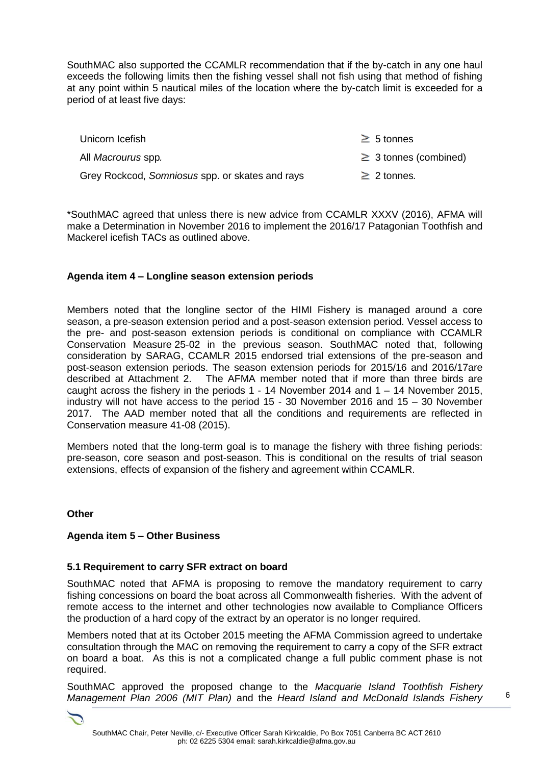SouthMAC also supported the CCAMLR recommendation that if the by-catch in any one haul exceeds the following limits then the fishing vessel shall not fish using that method of fishing at any point within 5 nautical miles of the location where the by-catch limit is exceeded for a period of at least five days:

| Unicorn Icefish                                 | $\geq 5$ tonnes            |
|-------------------------------------------------|----------------------------|
| All <i>Macrourus</i> spp.                       | $\geq$ 3 tonnes (combined) |
| Grey Rockcod, Somniosus spp. or skates and rays | $\geq$ 2 tonnes.           |

\*SouthMAC agreed that unless there is new advice from CCAMLR XXXV (2016), AFMA will make a Determination in November 2016 to implement the 2016/17 Patagonian Toothfish and Mackerel icefish TACs as outlined above.

#### **Agenda item 4 – Longline season extension periods**

Members noted that the longline sector of the HIMI Fishery is managed around a core season, a pre-season extension period and a post-season extension period. Vessel access to the pre- and post-season extension periods is conditional on compliance with CCAMLR Conservation Measure 25-02 in the previous season. SouthMAC noted that, following consideration by SARAG, CCAMLR 2015 endorsed trial extensions of the pre-season and post-season extension periods. The season extension periods for 2015/16 and 2016/17are described at Attachment 2. The AFMA member noted that if more than three birds are caught across the fishery in the periods 1 - 14 November 2014 and 1 – 14 November 2015, industry will not have access to the period 15 - 30 November 2016 and 15 – 30 November 2017. The AAD member noted that all the conditions and requirements are reflected in Conservation measure 41-08 (2015).

Members noted that the long-term goal is to manage the fishery with three fishing periods: pre-season, core season and post-season. This is conditional on the results of trial season extensions, effects of expansion of the fishery and agreement within CCAMLR.

#### **Other**

#### **Agenda item 5 – Other Business**

#### **5.1 Requirement to carry SFR extract on board**

SouthMAC noted that AFMA is proposing to remove the mandatory requirement to carry fishing concessions on board the boat across all Commonwealth fisheries. With the advent of remote access to the internet and other technologies now available to Compliance Officers the production of a hard copy of the extract by an operator is no longer required.

Members noted that at its October 2015 meeting the AFMA Commission agreed to undertake consultation through the MAC on removing the requirement to carry a copy of the SFR extract on board a boat. As this is not a complicated change a full public comment phase is not required.

SouthMAC approved the proposed change to the *Macquarie Island Toothfish Fishery Management Plan 2006 (MIT Plan)* and the *Heard Island and McDonald Islands Fishery*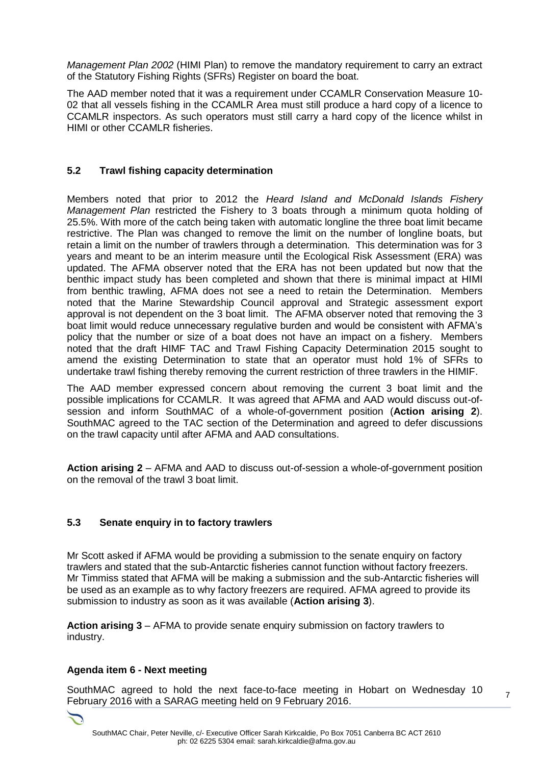*Management Plan 2002* (HIMI Plan) to remove the mandatory requirement to carry an extract of the Statutory Fishing Rights (SFRs) Register on board the boat.

The AAD member noted that it was a requirement under CCAMLR Conservation Measure 10- 02 that all vessels fishing in the CCAMLR Area must still produce a hard copy of a licence to CCAMLR inspectors. As such operators must still carry a hard copy of the licence whilst in HIMI or other CCAMLR fisheries.

#### **5.2 Trawl fishing capacity determination**

Members noted that prior to 2012 the *Heard Island and McDonald Islands Fishery Management Plan* restricted the Fishery to 3 boats through a minimum quota holding of 25.5%. With more of the catch being taken with automatic longline the three boat limit became restrictive. The Plan was changed to remove the limit on the number of longline boats, but retain a limit on the number of trawlers through a determination. This determination was for 3 years and meant to be an interim measure until the Ecological Risk Assessment (ERA) was updated. The AFMA observer noted that the ERA has not been updated but now that the benthic impact study has been completed and shown that there is minimal impact at HIMI from benthic trawling, AFMA does not see a need to retain the Determination. Members noted that the Marine Stewardship Council approval and Strategic assessment export approval is not dependent on the 3 boat limit. The AFMA observer noted that removing the 3 boat limit would reduce unnecessary regulative burden and would be consistent with AFMA's policy that the number or size of a boat does not have an impact on a fishery. Members noted that the draft HIMF TAC and Trawl Fishing Capacity Determination 2015 sought to amend the existing Determination to state that an operator must hold 1% of SFRs to undertake trawl fishing thereby removing the current restriction of three trawlers in the HIMIF.

The AAD member expressed concern about removing the current 3 boat limit and the possible implications for CCAMLR. It was agreed that AFMA and AAD would discuss out-ofsession and inform SouthMAC of a whole-of-government position (**Action arising 2**). SouthMAC agreed to the TAC section of the Determination and agreed to defer discussions on the trawl capacity until after AFMA and AAD consultations.

**Action arising 2** – AFMA and AAD to discuss out-of-session a whole-of-government position on the removal of the trawl 3 boat limit.

#### **5.3 Senate enquiry in to factory trawlers**

Mr Scott asked if AFMA would be providing a submission to the senate enquiry on factory trawlers and stated that the sub-Antarctic fisheries cannot function without factory freezers. Mr Timmiss stated that AFMA will be making a submission and the sub-Antarctic fisheries will be used as an example as to why factory freezers are required. AFMA agreed to provide its submission to industry as soon as it was available (**Action arising 3**).

**Action arising 3** – AFMA to provide senate enquiry submission on factory trawlers to industry.

#### **Agenda item 6 - Next meeting**

SouthMAC agreed to hold the next face-to-face meeting in Hobart on Wednesday 10 February 2016 with a SARAG meeting held on 9 February 2016.

7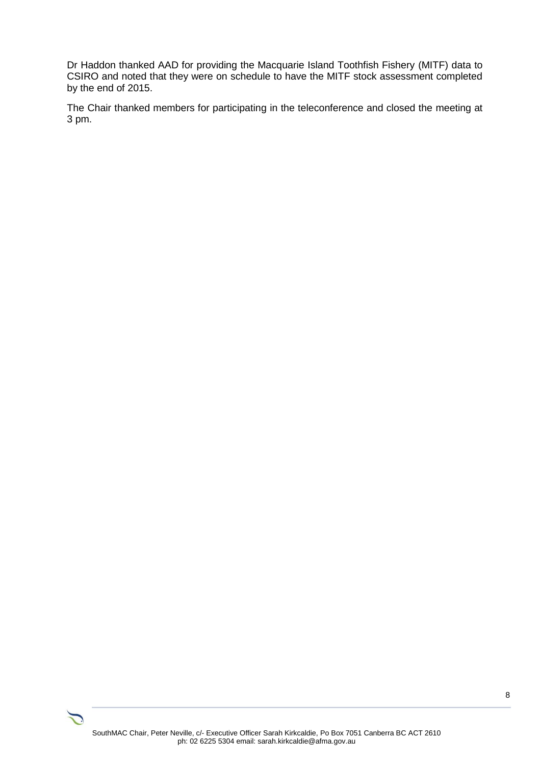Dr Haddon thanked AAD for providing the Macquarie Island Toothfish Fishery (MITF) data to CSIRO and noted that they were on schedule to have the MITF stock assessment completed by the end of 2015.

The Chair thanked members for participating in the teleconference and closed the meeting at 3 pm.

8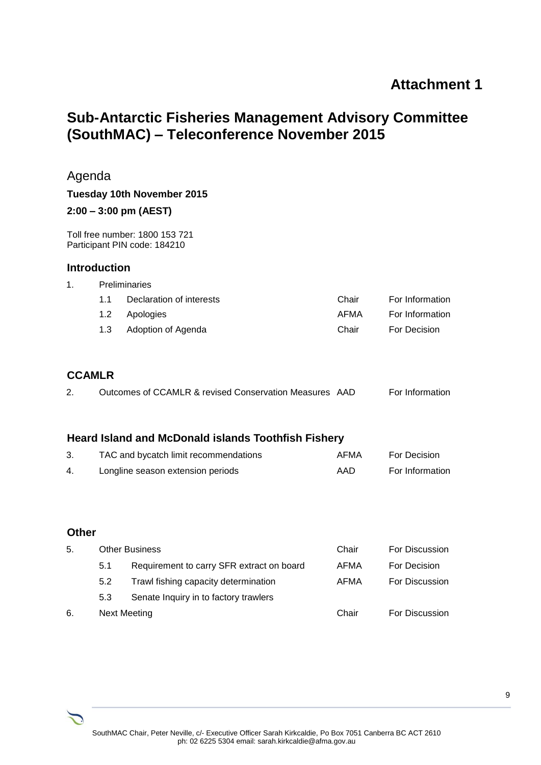## **Attachment 1**

# **Sub-Antarctic Fisheries Management Advisory Committee (SouthMAC) – Teleconference November 2015**

|              | Agenda              |                                                                |              |                 |  |  |  |  |
|--------------|---------------------|----------------------------------------------------------------|--------------|-----------------|--|--|--|--|
|              |                     | Tuesday 10th November 2015                                     |              |                 |  |  |  |  |
|              |                     | $2:00 - 3:00$ pm (AEST)                                        |              |                 |  |  |  |  |
|              |                     | Toll free number: 1800 153 721<br>Participant PIN code: 184210 |              |                 |  |  |  |  |
|              | <b>Introduction</b> |                                                                |              |                 |  |  |  |  |
| 1.           |                     | Preliminaries                                                  |              |                 |  |  |  |  |
|              | 1.1                 | Declaration of interests                                       | Chair        | For Information |  |  |  |  |
|              | 1.2                 | Apologies                                                      | <b>AFMA</b>  | For Information |  |  |  |  |
|              | 1.3                 | Adoption of Agenda                                             | Chair        | For Decision    |  |  |  |  |
|              | <b>CCAMLR</b>       |                                                                |              |                 |  |  |  |  |
| 2.           |                     | Outcomes of CCAMLR & revised Conservation Measures AAD         |              | For Information |  |  |  |  |
|              |                     | <b>Heard Island and McDonald islands Toothfish Fishery</b>     |              |                 |  |  |  |  |
| 3.           |                     | TAC and bycatch limit recommendations                          | <b>AFMA</b>  | For Decision    |  |  |  |  |
| 4.           |                     | Longline season extension periods                              | AAD          | For Information |  |  |  |  |
| <b>Other</b> |                     |                                                                |              |                 |  |  |  |  |
| 5.           |                     | <b>Other Business</b>                                          |              | For Discussion  |  |  |  |  |
|              | 5.1                 | Requirement to carry SFR extract on board                      |              | For Decision    |  |  |  |  |
|              | 5.2                 | Trawl fishing capacity determination                           | AFMA<br>AFMA | For Discussion  |  |  |  |  |
|              | 5.3                 | Senate Inquiry in to factory trawlers                          |              |                 |  |  |  |  |

6. Next Meeting **Chair** Chair For Discussion